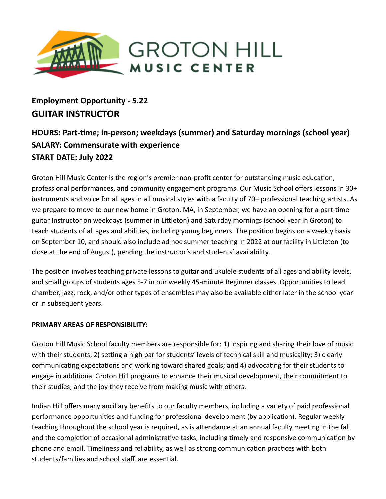

# **Employment Opportunity - 5.22 GUITAR INSTRUCTOR**

# **HOURS: Part-me; in-person; weekdays (summer) and Saturday mornings (school year) SALARY: Commensurate with experience START DATE: July 2022**

Groton Hill Music Center is the region's premier non-profit center for outstanding music education, professional performances, and community engagement programs. Our Music School offers lessons in 30+ instruments and voice for all ages in all musical styles with a faculty of 70+ professional teaching artists. As we prepare to move to our new home in Groton, MA, in September, we have an opening for a part-time guitar Instructor on weekdays (summer in Littleton) and Saturday mornings (school year in Groton) to teach students of all ages and abilities, including young beginners. The position begins on a weekly basis on September 10, and should also include ad hoc summer teaching in 2022 at our facility in Lileton (to close at the end of August), pending the instructor's and students' availability.

The position involves teaching private lessons to guitar and ukulele students of all ages and ability levels, and small groups of students ages 5-7 in our weekly 45-minute Beginner classes. Opportunities to lead chamber, jazz, rock, and/or other types of ensembles may also be available either later in the school year or in subsequent years.

# **PRIMARY AREAS OF RESPONSIBILITY:**

Groton Hill Music School faculty members are responsible for: 1) inspiring and sharing their love of music with their students; 2) setting a high bar for students' levels of technical skill and musicality; 3) clearly communicating expectations and working toward shared goals; and 4) advocating for their students to engage in additional Groton Hill programs to enhance their musical development, their commitment to their studies, and the joy they receive from making music with others.

Indian Hill offers many ancillary benefits to our faculty members, including a variety of paid professional performance opportunities and funding for professional development (by application). Regular weekly teaching throughout the school year is required, as is attendance at an annual faculty meeting in the fall and the completion of occasional administrative tasks, including timely and responsive communication by phone and email. Timeliness and reliability, as well as strong communication practices with both students/families and school staff, are essential.